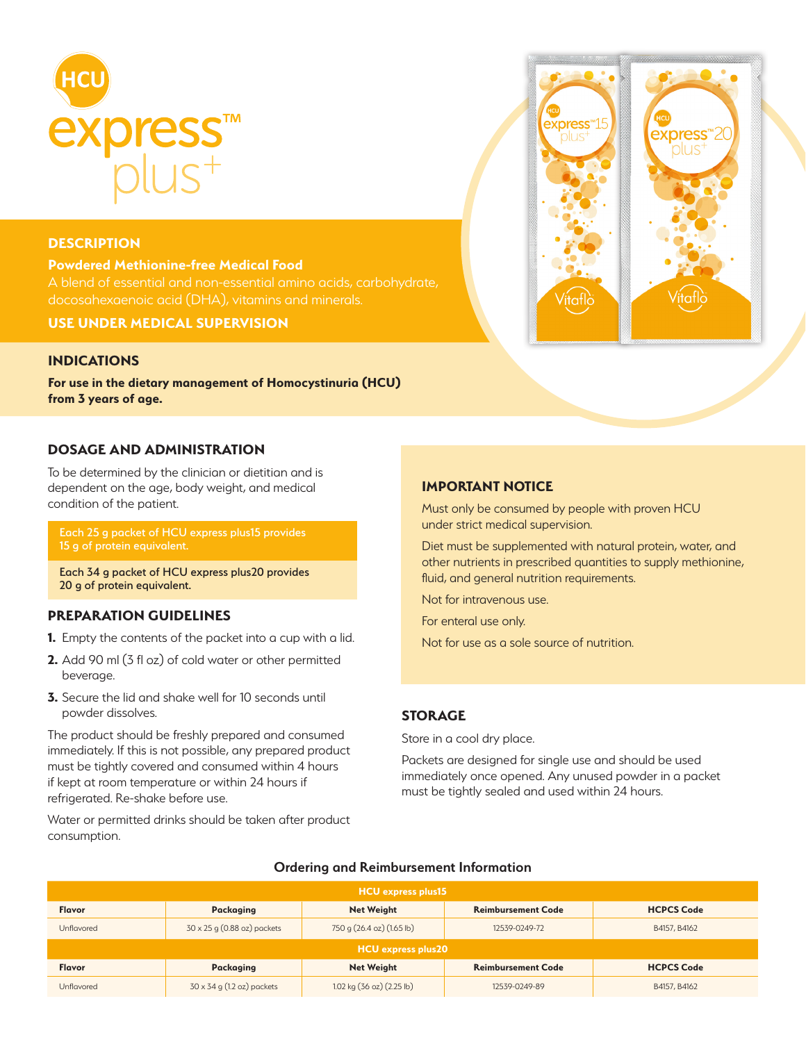

### **DESCRIPTION**

**Powdered Methionine-free Medical Food** docosahexaenoic acid (DHA), vitamins and minerals.

**USE UNDER MEDICAL SUPERVISION**

### **INDICATIONS**

**For use in the dietary management of Homocystinuria (HCU) from 3 years of age.** 

## **DOSAGE AND ADMINISTRATION**

To be determined by the clinician or dietitian and is dependent on the age, body weight, and medical condition of the patient.

Each 25 g packet of HCU express plus15 provides

Each 34 g packet of HCU express plus20 provides 20 g of protein equivalent.

# **PREPARATION GUIDELINES**

- **1.** Empty the contents of the packet into a cup with a lid.
- **2.** Add 90 ml (3 fl oz) of cold water or other permitted beverage.
- **3.** Secure the lid and shake well for 10 seconds until powder dissolves.

The product should be freshly prepared and consumed immediately. If this is not possible, any prepared product must be tightly covered and consumed within 4 hours if kept at room temperature or within 24 hours if refrigerated. Re-shake before use.

Water or permitted drinks should be taken after product consumption.

## **IMPORTANT NOTICE**

Must only be consumed by people with proven HCU under strict medical supervision.

Diet must be supplemented with natural protein, water, and other nutrients in prescribed quantities to supply methionine, fluid, and general nutrition requirements.

Not for intravenous use.

For enteral use only.

Not for use as a sole source of nutrition.

## **STORAGE**

Store in a cool dry place.

Packets are designed for single use and should be used immediately once opened. Any unused powder in a packet must be tightly sealed and used within 24 hours.

| HCU express plus15 |                                      |                           |                           |                   |  |  |  |  |
|--------------------|--------------------------------------|---------------------------|---------------------------|-------------------|--|--|--|--|
| <b>Flavor</b>      | <b>Packaging</b>                     | <b>Net Weight</b>         | <b>Reimbursement Code</b> | <b>HCPCS Code</b> |  |  |  |  |
| Unflavored         | $30 \times 25$ g $(0.88$ oz) packets | 750 g (26.4 oz) (1.65 lb) | 12539-0249-72             | B4157, B4162      |  |  |  |  |
| HCU express plus20 |                                      |                           |                           |                   |  |  |  |  |
| <b>Flavor</b>      | <b>Packaging</b>                     | <b>Net Weight</b>         | <b>Reimbursement Code</b> | <b>HCPCS Code</b> |  |  |  |  |
| Unflavored         | $30 \times 34$ g (1.2 oz) packets    | 1.02 kg (36 oz) (2.25 lb) | 12539-0249-89             | B4157, B4162      |  |  |  |  |

#### **Ordering and Reimbursement Information**